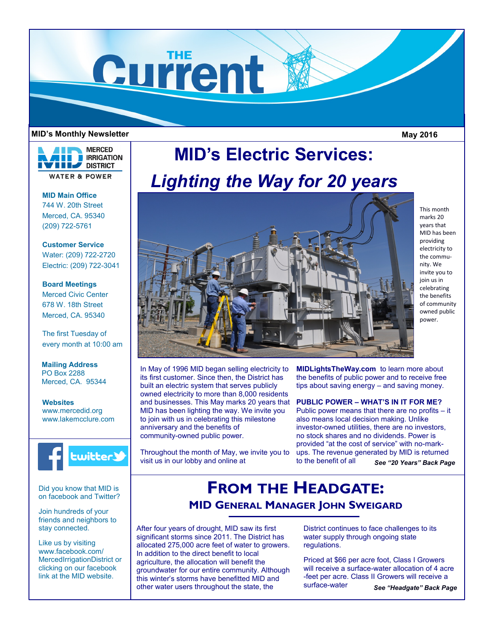

#### **MID's Monthly Newsletter May 2016**

This month marks 20 years that MID has been providing electricity to the community. We invite you to join us in celebrating the benefits of community owned public power.



**MID Main Office** 744 W. 20th Street Merced, CA. 95340 (209) 722-5761

**Customer Service** Water: (209) 722-2720 Electric: (209) 722-3041

### **Board Meetings** Merced Civic Center 678 W. 18th Street Merced, CA. 95340

The first Tuesday of every month at 10:00 am

**Mailing Address** PO Box 2288 Merced, CA. 95344

**Websites** www.mercedid.org www.lakemcclure.com



Did you know that MID is on facebook and Twitter?

Join hundreds of your friends and neighbors to stay connected.

Like us by visiting www.facebook.com/ MercedIrrigationDistrict or clicking on our facebook link at the MID website.

# **MID's Electric Services:**  *Lighting the Way for 20 years*



In May of 1996 MID began selling electricity to its first customer. Since then, the District has built an electric system that serves publicly owned electricity to more than 8,000 residents and businesses. This May marks 20 years that MID has been lighting the way. We invite you to join with us in celebrating this milestone anniversary and the benefits of community-owned public power.

Throughout the month of May, we invite you to visit us in our lobby and online at

**MIDLightsTheWay.com** to learn more about the benefits of public power and to receive free tips about saving energy – and saving money.

**PUBLIC POWER – WHAT'S IN IT FOR ME?**

Public power means that there are no profits – it also means local decision making. Unlike investor-owned utilities, there are no investors, no stock shares and no dividends. Power is provided "at the cost of service" with no-markups. The revenue generated by MID is returned to the benefit of all *See "20 Years" Back Page*

# **FROM THE HEADGATE: MID GENERAL MANAGER JOHN SWEIGARD**

After four years of drought, MID saw its first significant storms since 2011. The District has allocated 275,000 acre feet of water to growers. In addition to the direct benefit to local agriculture, the allocation will benefit the groundwater for our entire community. Although this winter's storms have benefitted MID and other water users throughout the state, the

District continues to face challenges to its water supply through ongoing state regulations.

Priced at \$66 per acre foot, Class I Growers will receive a surface-water allocation of 4 acre -feet per acre. Class II Growers will receive a surface-water *See "Headgate" Back Page*